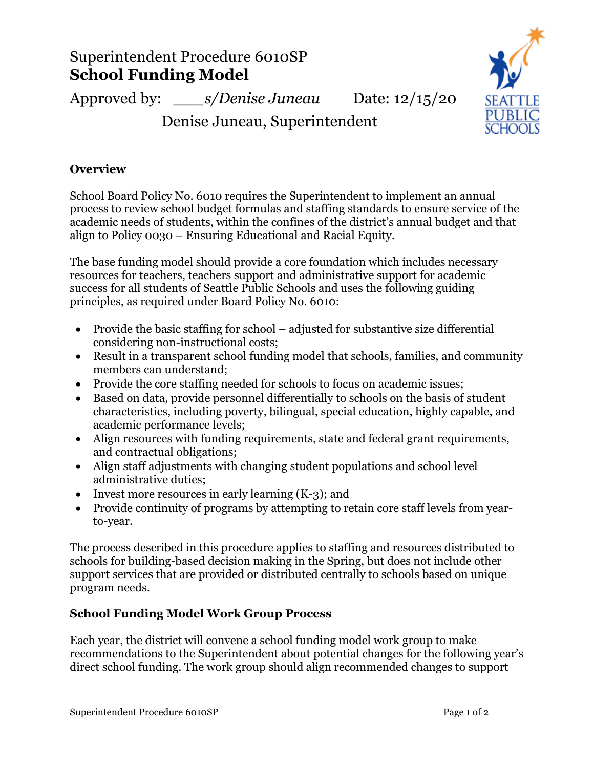# Superintendent Procedure 6010SP **School Funding Model**

Approved by: *s/Denise Juneau* Date: 12/15/20

Denise Juneau, Superintendent

### **Overview**

School Board Policy No. 6010 requires the Superintendent to implement an annual process to review school budget formulas and staffing standards to ensure service of the academic needs of students, within the confines of the district's annual budget and that align to Policy 0030 – Ensuring Educational and Racial Equity.

The base funding model should provide a core foundation which includes necessary resources for teachers, teachers support and administrative support for academic success for all students of Seattle Public Schools and uses the following guiding principles, as required under Board Policy No. 6010:

- Provide the basic staffing for school adjusted for substantive size differential considering non-instructional costs;
- Result in a transparent school funding model that schools, families, and community members can understand;
- Provide the core staffing needed for schools to focus on academic issues;
- Based on data, provide personnel differentially to schools on the basis of student characteristics, including poverty, bilingual, special education, highly capable, and academic performance levels;
- Align resources with funding requirements, state and federal grant requirements, and contractual obligations;
- Align staff adjustments with changing student populations and school level administrative duties;
- Invest more resources in early learning (K-3); and
- Provide continuity of programs by attempting to retain core staff levels from yearto-year.

The process described in this procedure applies to staffing and resources distributed to schools for building-based decision making in the Spring, but does not include other support services that are provided or distributed centrally to schools based on unique program needs.

## **School Funding Model Work Group Process**

Each year, the district will convene a school funding model work group to make recommendations to the Superintendent about potential changes for the following year's direct school funding. The work group should align recommended changes to support